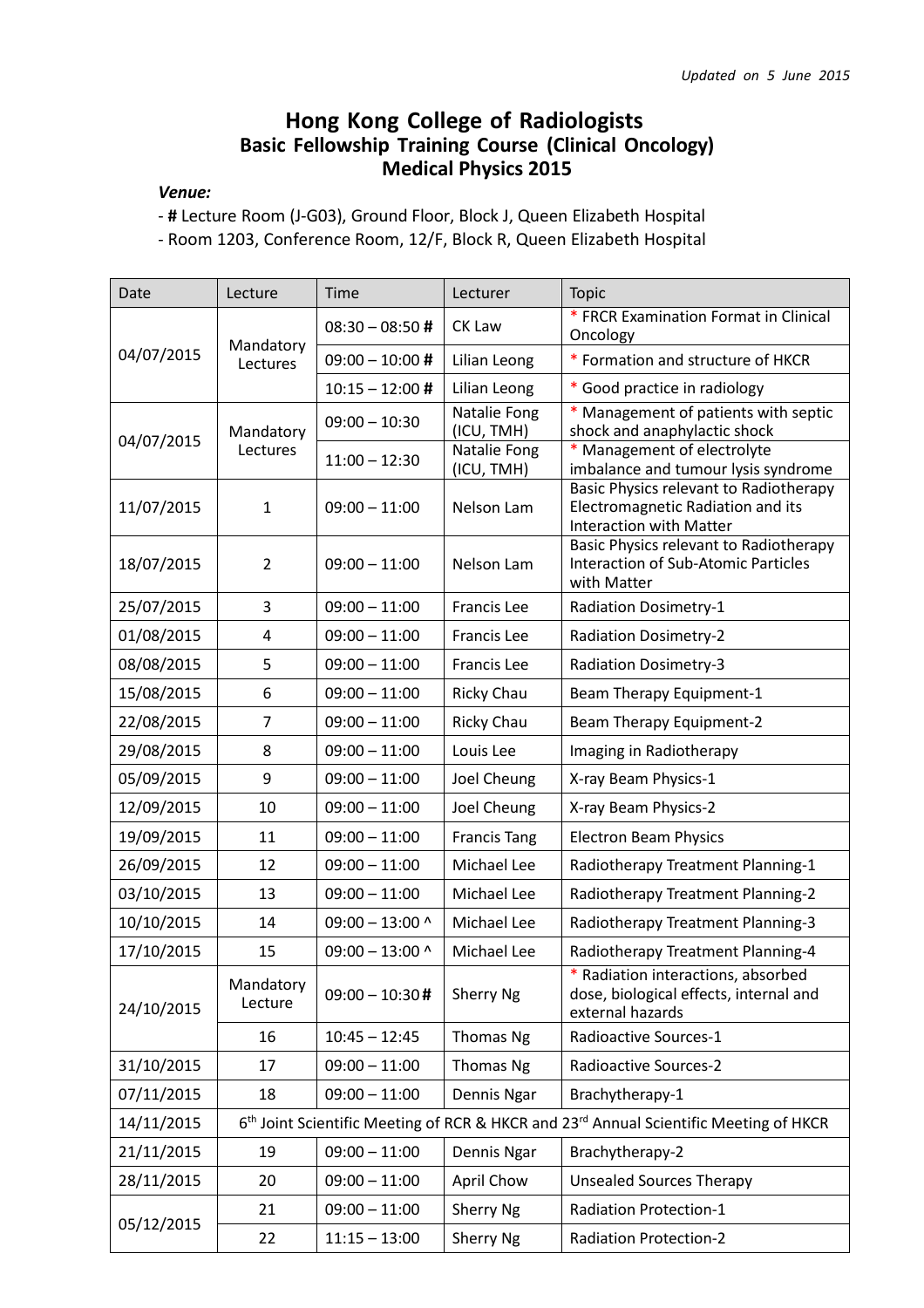## Hong Kong College of Radiologists Basic Fellowship Training Course (Clinical Oncology) Medical Physics 2015

## Venue:

- # Lecture Room (J-G03), Ground Floor, Block J, Queen Elizabeth Hospital

- Room 1203, Conference Room, 12/F, Block R, Queen Elizabeth Hospital

| Date       | Lecture                                                                                                       | Time              | Lecturer                   | Topic                                                                                                         |  |
|------------|---------------------------------------------------------------------------------------------------------------|-------------------|----------------------------|---------------------------------------------------------------------------------------------------------------|--|
| 04/07/2015 | Mandatory<br>Lectures                                                                                         | $08:30 - 08:50#$  | CK Law                     | * FRCR Examination Format in Clinical<br>Oncology                                                             |  |
|            |                                                                                                               | $09:00 - 10:00$ # | Lilian Leong               | * Formation and structure of HKCR                                                                             |  |
|            |                                                                                                               | $10:15 - 12:00$ # | Lilian Leong               | * Good practice in radiology                                                                                  |  |
| 04/07/2015 | Mandatory<br>Lectures                                                                                         | $09:00 - 10:30$   | Natalie Fong<br>(ICU, TMH) | * Management of patients with septic<br>shock and anaphylactic shock                                          |  |
|            |                                                                                                               | $11:00 - 12:30$   | Natalie Fong<br>(ICU, TMH) | Management of electrolyte<br>imbalance and tumour lysis syndrome                                              |  |
| 11/07/2015 | $\mathbf{1}$                                                                                                  | $09:00 - 11:00$   | Nelson Lam                 | Basic Physics relevant to Radiotherapy<br>Electromagnetic Radiation and its<br><b>Interaction with Matter</b> |  |
| 18/07/2015 | $\overline{2}$                                                                                                | $09:00 - 11:00$   | Nelson Lam                 | Basic Physics relevant to Radiotherapy<br><b>Interaction of Sub-Atomic Particles</b><br>with Matter           |  |
| 25/07/2015 | 3                                                                                                             | $09:00 - 11:00$   | Francis Lee                | <b>Radiation Dosimetry-1</b>                                                                                  |  |
| 01/08/2015 | 4                                                                                                             | $09:00 - 11:00$   | Francis Lee                | <b>Radiation Dosimetry-2</b>                                                                                  |  |
| 08/08/2015 | 5                                                                                                             | $09:00 - 11:00$   | Francis Lee                | <b>Radiation Dosimetry-3</b>                                                                                  |  |
| 15/08/2015 | 6                                                                                                             | $09:00 - 11:00$   | <b>Ricky Chau</b>          | Beam Therapy Equipment-1                                                                                      |  |
| 22/08/2015 | 7                                                                                                             | $09:00 - 11:00$   | <b>Ricky Chau</b>          | Beam Therapy Equipment-2                                                                                      |  |
| 29/08/2015 | 8                                                                                                             | $09:00 - 11:00$   | Louis Lee                  | Imaging in Radiotherapy                                                                                       |  |
| 05/09/2015 | 9                                                                                                             | $09:00 - 11:00$   | Joel Cheung                | X-ray Beam Physics-1                                                                                          |  |
| 12/09/2015 | 10                                                                                                            | $09:00 - 11:00$   | Joel Cheung                | X-ray Beam Physics-2                                                                                          |  |
| 19/09/2015 | 11                                                                                                            | $09:00 - 11:00$   | <b>Francis Tang</b>        | <b>Electron Beam Physics</b>                                                                                  |  |
| 26/09/2015 | 12                                                                                                            | $09:00 - 11:00$   | Michael Lee                | Radiotherapy Treatment Planning-1                                                                             |  |
| 03/10/2015 | 13                                                                                                            | $09:00 - 11:00$   | Michael Lee                | Radiotherapy Treatment Planning-2                                                                             |  |
| 10/10/2015 | 14                                                                                                            | $09:00 - 13:00$ ^ | Michael Lee                | Radiotherapy Treatment Planning-3                                                                             |  |
| 17/10/2015 | 15                                                                                                            | $09:00 - 13:00$ ^ | Michael Lee                | Radiotherapy Treatment Planning-4                                                                             |  |
| 24/10/2015 | Mandatory<br>Lecture                                                                                          | $09:00 - 10:30#$  | Sherry Ng                  | * Radiation interactions, absorbed<br>dose, biological effects, internal and<br>external hazards              |  |
|            | 16                                                                                                            | $10:45 - 12:45$   | Thomas Ng                  | Radioactive Sources-1                                                                                         |  |
| 31/10/2015 | 17                                                                                                            | $09:00 - 11:00$   | Thomas Ng                  | <b>Radioactive Sources-2</b>                                                                                  |  |
| 07/11/2015 | 18                                                                                                            | $09:00 - 11:00$   | Dennis Ngar                | Brachytherapy-1                                                                                               |  |
| 14/11/2015 | 6 <sup>th</sup> Joint Scientific Meeting of RCR & HKCR and 23 <sup>rd</sup> Annual Scientific Meeting of HKCR |                   |                            |                                                                                                               |  |
| 21/11/2015 | 19                                                                                                            | $09:00 - 11:00$   | Dennis Ngar                | Brachytherapy-2                                                                                               |  |
| 28/11/2015 | 20                                                                                                            | $09:00 - 11:00$   | April Chow                 | <b>Unsealed Sources Therapy</b>                                                                               |  |
| 05/12/2015 | 21                                                                                                            | $09:00 - 11:00$   | Sherry Ng                  | <b>Radiation Protection-1</b>                                                                                 |  |
|            | 22                                                                                                            | $11:15 - 13:00$   | Sherry Ng                  | <b>Radiation Protection-2</b>                                                                                 |  |